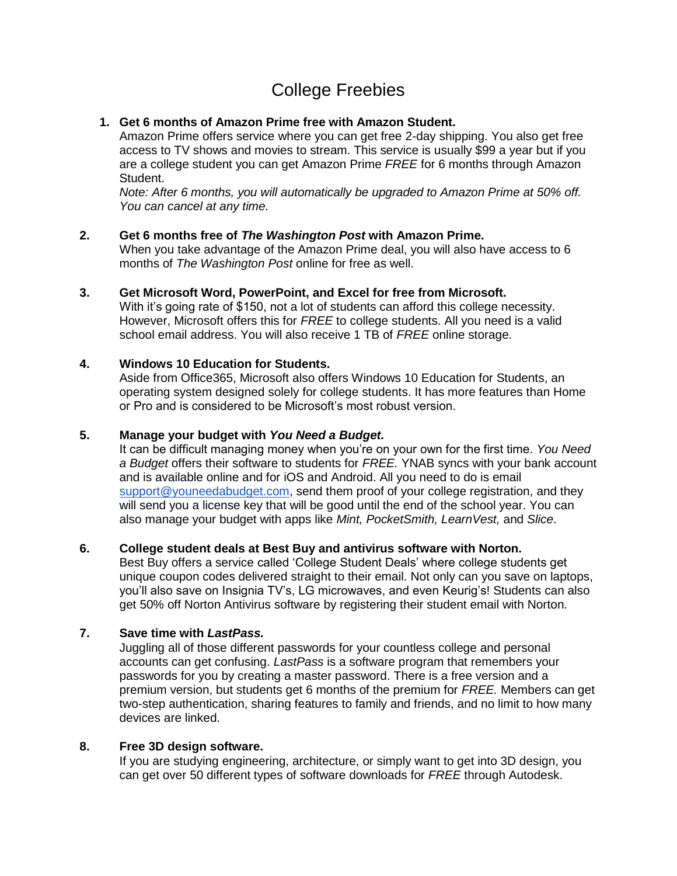# College Freebies

## **1. Get 6 months of Amazon Prime free with Amazon Student.**

Amazon Prime offers service where you can get free 2-day shipping. You also get free access to TV shows and movies to stream. This service is usually \$99 a year but if you are a college student you can get Amazon Prime *FREE* for 6 months through Amazon Student.

*Note: After 6 months, you will automatically be upgraded to Amazon Prime at 50% off. You can cancel at any time.*

#### **2. Get 6 months free of** *The Washington Post* **with Amazon Prime.**

When you take advantage of the Amazon Prime deal, you will also have access to 6 months of *The Washington Post* online for free as well.

## **3. Get Microsoft Word, PowerPoint, and Excel for free from Microsoft.**

With it's going rate of \$150, not a lot of students can afford this college necessity. However, Microsoft offers this for *FREE* to college students. All you need is a valid school email address. You will also receive 1 TB of *FREE* online storage.

#### **4. Windows 10 Education for Students.**

Aside from Office365, Microsoft also offers Windows 10 Education for Students, an operating system designed solely for college students. It has more features than Home or Pro and is considered to be Microsoft's most robust version.

## **5. Manage your budget with** *You Need a Budget.*

It can be difficult managing money when you're on your own for the first time. *You Need a Budget* offers their software to students for *FREE.* YNAB syncs with your bank account and is available online and for iOS and Android. All you need to do is email [support@youneedabudget.com,](mailto:support@youneedabudget.com) send them proof of your college registration, and they will send you a license key that will be good until the end of the school year. You can also manage your budget with apps like *Mint, PocketSmith, LearnVest,* and *Slice*.

### **6. College student deals at Best Buy and antivirus software with Norton.**

Best Buy offers a service called 'College Student Deals' where college students get unique coupon codes delivered straight to their email. Not only can you save on laptops, you'll also save on Insignia TV's, LG microwaves, and even Keurig's! Students can also get 50% off Norton Antivirus software by registering their student email with Norton.

#### **7. Save time with** *LastPass.*

Juggling all of those different passwords for your countless college and personal accounts can get confusing. *LastPass* is a software program that remembers your passwords for you by creating a master password. There is a free version and a premium version, but students get 6 months of the premium for *FREE.* Members can get two-step authentication, sharing features to family and friends, and no limit to how many devices are linked.

#### **8. Free 3D design software.**

If you are studying engineering, architecture, or simply want to get into 3D design, you can get over 50 different types of software downloads for *FREE* through Autodesk.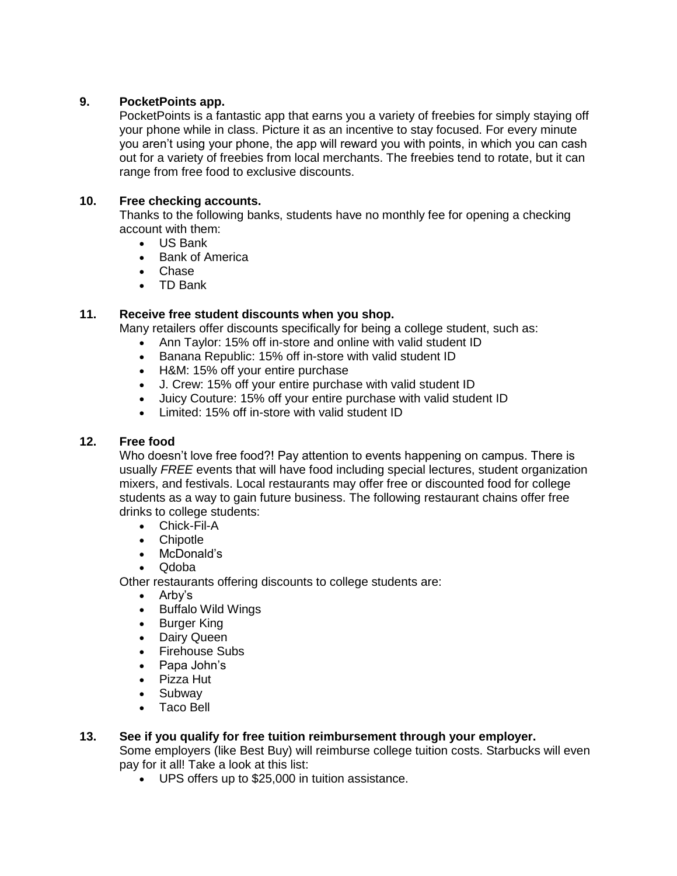### **9. PocketPoints app.**

PocketPoints is a fantastic app that earns you a variety of freebies for simply staying off your phone while in class. Picture it as an incentive to stay focused. For every minute you aren't using your phone, the app will reward you with points, in which you can cash out for a variety of freebies from local merchants. The freebies tend to rotate, but it can range from free food to exclusive discounts.

## **10. Free checking accounts.**

Thanks to the following banks, students have no monthly fee for opening a checking account with them:

- US Bank
- Bank of America
- Chase
- TD Bank

## **11. Receive free student discounts when you shop.**

Many retailers offer discounts specifically for being a college student, such as:

- Ann Taylor: 15% off in-store and online with valid student ID
- Banana Republic: 15% off in-store with valid student ID
- H&M: 15% off your entire purchase
- J. Crew: 15% off your entire purchase with valid student ID
- Juicy Couture: 15% off your entire purchase with valid student ID
- Limited: 15% off in-store with valid student ID

#### **12. Free food**

Who doesn't love free food?! Pay attention to events happening on campus. There is usually *FREE* events that will have food including special lectures, student organization mixers, and festivals. Local restaurants may offer free or discounted food for college students as a way to gain future business. The following restaurant chains offer free drinks to college students:

- Chick-Fil-A
- Chipotle
- McDonald's
- Qdoba

Other restaurants offering discounts to college students are:

- Arby's
- Buffalo Wild Wings
- Burger King
- Dairy Queen
- Firehouse Subs
- Papa John's
- Pizza Hut
- Subway
- Taco Bell

#### **13. See if you qualify for free tuition reimbursement through your employer.**

Some employers (like Best Buy) will reimburse college tuition costs. Starbucks will even pay for it all! Take a look at this list:

UPS offers up to \$25,000 in tuition assistance.